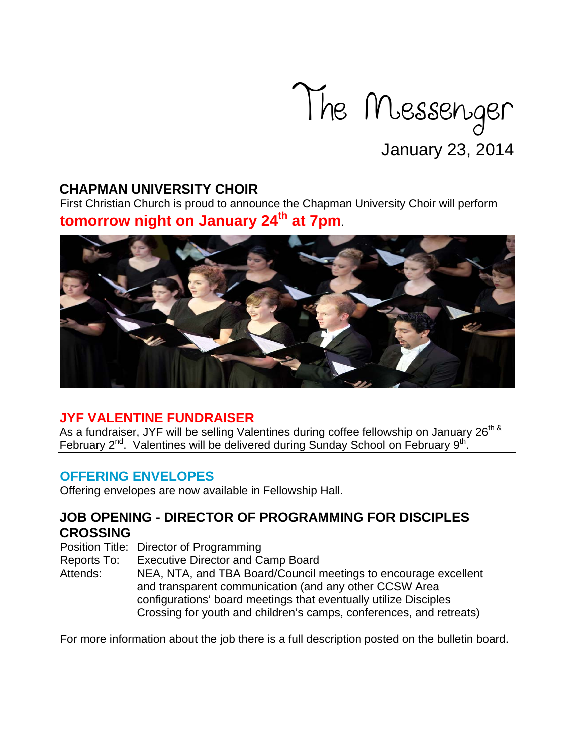

## **CHAPMAN UNIVERSITY CHOIR**

First Christian Church is proud to announce the Chapman University Choir will perform **tomorrow night on January 24<sup>th</sup> at 7pm**.



# **JYF VALENTINE FUNDRAISER**

As a fundraiser, JYF will be selling Valentines during coffee fellowship on January 26<sup>th &</sup> February 2<sup>nd</sup>. Valentines will be delivered during Sunday School on February 9<sup>th</sup>.

## **OFFERING ENVELOPES**

Offering envelopes are now available in Fellowship Hall.

# **JOB OPENING - DIRECTOR OF PROGRAMMING FOR DISCIPLES CROSSING**

Position Title: Director of Programming

Reports To: Executive Director and Camp Board

Attends: NEA, NTA, and TBA Board/Council meetings to encourage excellent and transparent communication (and any other CCSW Area configurations' board meetings that eventually utilize Disciples Crossing for youth and children's camps, conferences, and retreats)

For more information about the job there is a full description posted on the bulletin board.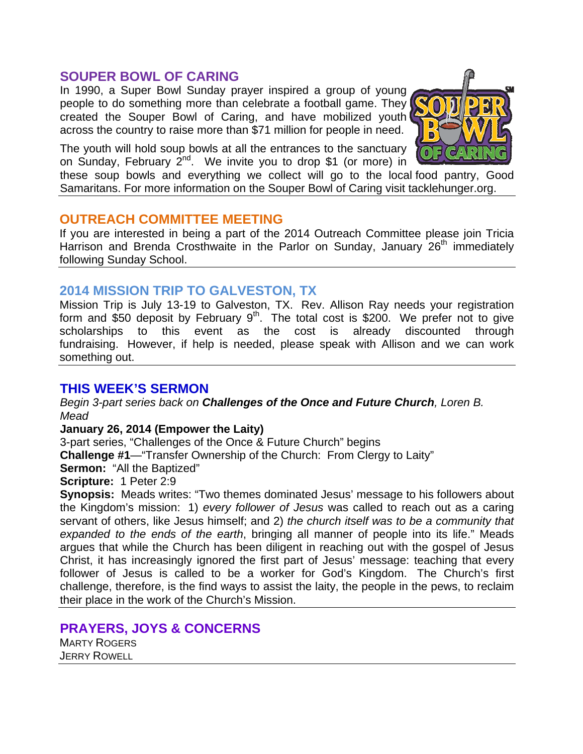#### **SOUPER BOWL OF CARING**

In 1990, a Super Bowl Sunday prayer inspired a group of young people to do something more than celebrate a football game. They created the Souper Bowl of Caring, and have mobilized youth across the country to raise more than \$71 million for people in need.

The youth will hold soup bowls at all the entrances to the sanctuary on Sunday, February  $2^{nd}$ . We invite you to drop \$1 (or more) in

these soup bowls and everything we collect will go to the local food pantry, Good Samaritans. For more information on the Souper Bowl of Caring visit tacklehunger.org.

#### **OUTREACH COMMITTEE MEETING**

If you are interested in being a part of the 2014 Outreach Committee please join Tricia Harrison and Brenda Crosthwaite in the Parlor on Sunday, January 26<sup>th</sup> immediately following Sunday School.

### **2014 MISSION TRIP TO GALVESTON, TX**

Mission Trip is July 13-19 to Galveston, TX. Rev. Allison Ray needs your registration form and \$50 deposit by February  $9<sup>th</sup>$ . The total cost is \$200. We prefer not to give scholarships to this event as the cost is already discounted through fundraising. However, if help is needed, please speak with Allison and we can work something out.

## **THIS WEEK'S SERMON**

*Begin 3-part series back on Challenges of the Once and Future Church, Loren B. Mead* 

**January 26, 2014 (Empower the Laity)** 

3-part series, "Challenges of the Once & Future Church" begins **Challenge #1**—"Transfer Ownership of the Church: From Clergy to Laity" **Sermon:** "All the Baptized"

**Scripture:** 1 Peter 2:9

**Synopsis:** Meads writes: "Two themes dominated Jesus' message to his followers about the Kingdom's mission: 1) *every follower of Jesus* was called to reach out as a caring servant of others, like Jesus himself; and 2) *the church itself was to be a community that expanded to the ends of the earth*, bringing all manner of people into its life." Meads argues that while the Church has been diligent in reaching out with the gospel of Jesus Christ, it has increasingly ignored the first part of Jesus' message: teaching that every follower of Jesus is called to be a worker for God's Kingdom. The Church's first challenge, therefore, is the find ways to assist the laity, the people in the pews, to reclaim their place in the work of the Church's Mission.

#### **PRAYERS, JOYS & CONCERNS**

MARTY ROGERS JERRY ROWELL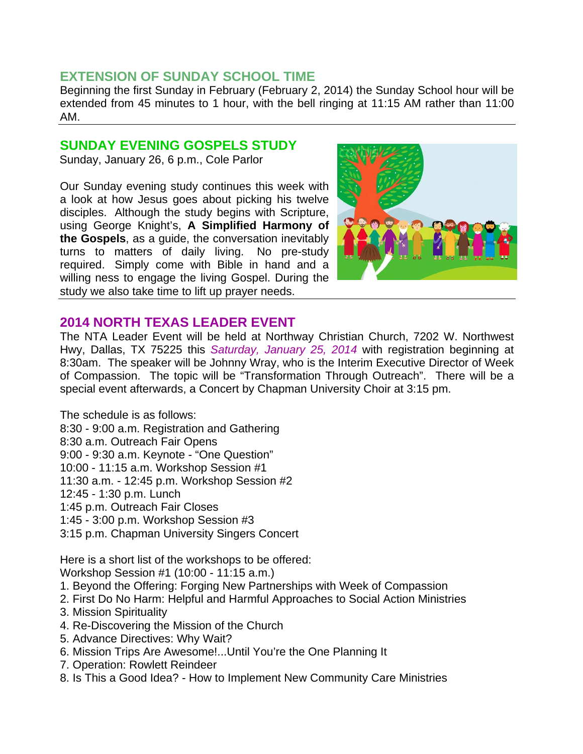## **EXTENSION OF SUNDAY SCHOOL TIME**

Beginning the first Sunday in February (February 2, 2014) the Sunday School hour will be extended from 45 minutes to 1 hour, with the bell ringing at 11:15 AM rather than 11:00 AM.

#### **SUNDAY EVENING GOSPELS STUDY**

Sunday, January 26, 6 p.m., Cole Parlor

Our Sunday evening study continues this week with a look at how Jesus goes about picking his twelve disciples. Although the study begins with Scripture, using George Knight's, **A Simplified Harmony of the Gospels**, as a guide, the conversation inevitably turns to matters of daily living. No pre-study required. Simply come with Bible in hand and a willing ness to engage the living Gospel. During the study we also take time to lift up prayer needs.



## **2014 NORTH TEXAS LEADER EVENT**

The NTA Leader Event will be held at Northway Christian Church, 7202 W. Northwest Hwy, Dallas, TX 75225 this *Saturday, January 25, 2014* with registration beginning at 8:30am. The speaker will be Johnny Wray, who is the Interim Executive Director of Week of Compassion. The topic will be "Transformation Through Outreach". There will be a special event afterwards, a Concert by Chapman University Choir at 3:15 pm.

The schedule is as follows: 8:30 - 9:00 a.m. Registration and Gathering 8:30 a.m. Outreach Fair Opens 9:00 - 9:30 a.m. Keynote - "One Question" 10:00 - 11:15 a.m. Workshop Session #1 11:30 a.m. - 12:45 p.m. Workshop Session #2 12:45 - 1:30 p.m. Lunch 1:45 p.m. Outreach Fair Closes 1:45 - 3:00 p.m. Workshop Session #3 3:15 p.m. Chapman University Singers Concert

Here is a short list of the workshops to be offered: Workshop Session #1 (10:00 - 11:15 a.m.)

- 1. Beyond the Offering: Forging New Partnerships with Week of Compassion
- 2. First Do No Harm: Helpful and Harmful Approaches to Social Action Ministries
- 3. Mission Spirituality
- 4. Re-Discovering the Mission of the Church
- 5. Advance Directives: Why Wait?
- 6. Mission Trips Are Awesome!...Until You're the One Planning It
- 7. Operation: Rowlett Reindeer
- 8. Is This a Good Idea? How to Implement New Community Care Ministries